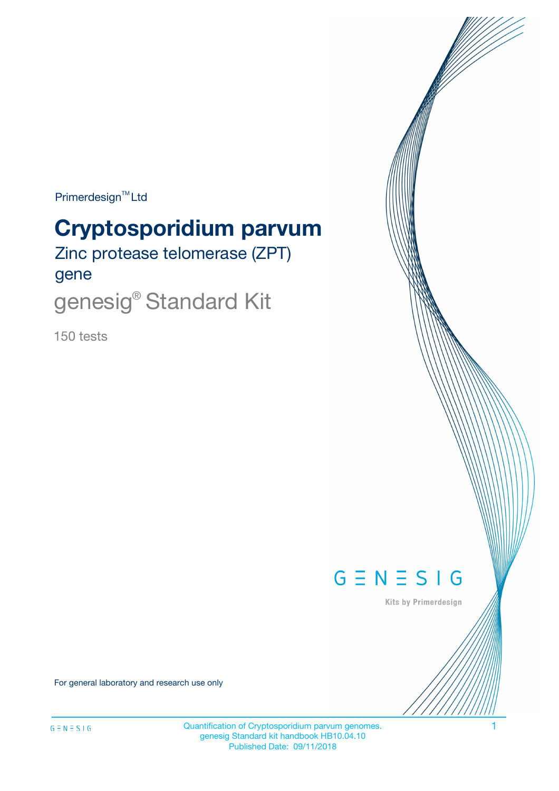Primerdesign<sup>™</sup>Ltd

# **Cryptosporidium parvum**

Zinc protease telomerase (ZPT) gene

genesig® Standard Kit

150 tests



Kits by Primerdesign

For general laboratory and research use only

Quantification of Cryptosporidium parvum genomes. 1 genesig Standard kit handbook HB10.04.10 Published Date: 09/11/2018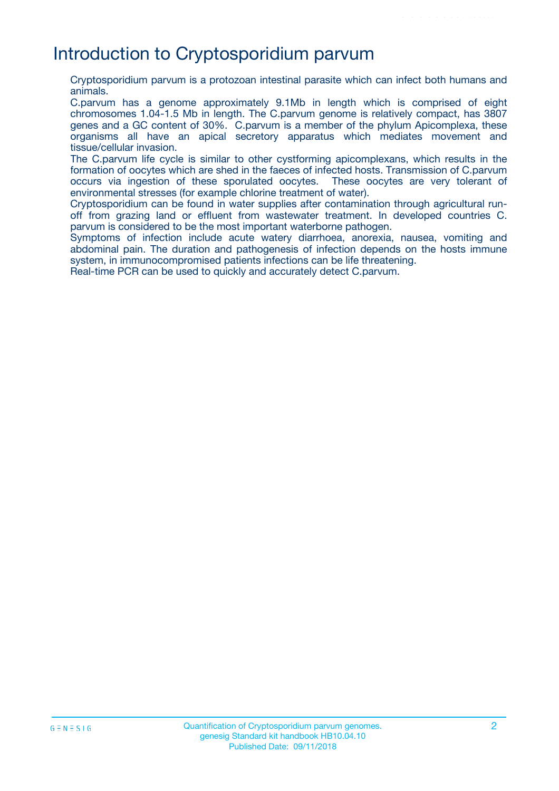## Introduction to Cryptosporidium parvum

Cryptosporidium parvum is a protozoan intestinal parasite which can infect both humans and animals.

C.parvum has a genome approximately 9.1Mb in length which is comprised of eight chromosomes 1.04-1.5 Mb in length. The C.parvum genome is relatively compact, has 3807 genes and a GC content of 30%. C.parvum is a member of the phylum Apicomplexa, these organisms all have an apical secretory apparatus which mediates movement and tissue/cellular invasion.

The C.parvum life cycle is similar to other cystforming apicomplexans, which results in the formation of oocytes which are shed in the faeces of infected hosts. Transmission of C.parvum occurs via ingestion of these sporulated oocytes. These oocytes are very tolerant of environmental stresses (for example chlorine treatment of water).

Cryptosporidium can be found in water supplies after contamination through agricultural runoff from grazing land or effluent from wastewater treatment. In developed countries C. parvum is considered to be the most important waterborne pathogen.

Symptoms of infection include acute watery diarrhoea, anorexia, nausea, vomiting and abdominal pain. The duration and pathogenesis of infection depends on the hosts immune system, in immunocompromised patients infections can be life threatening.

Real-time PCR can be used to quickly and accurately detect C.parvum.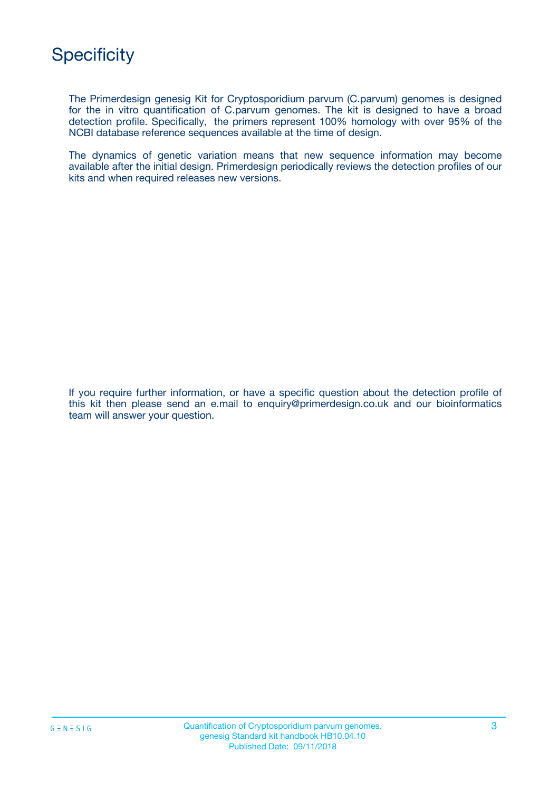

The Primerdesign genesig Kit for Cryptosporidium parvum (C.parvum) genomes is designed for the in vitro quantification of C.parvum genomes. The kit is designed to have a broad detection profile. Specifically, the primers represent 100% homology with over 95% of the NCBI database reference sequences available at the time of design.

The dynamics of genetic variation means that new sequence information may become available after the initial design. Primerdesign periodically reviews the detection profiles of our kits and when required releases new versions.

If you require further information, or have a specific question about the detection profile of this kit then please send an e.mail to enquiry@primerdesign.co.uk and our bioinformatics team will answer your question.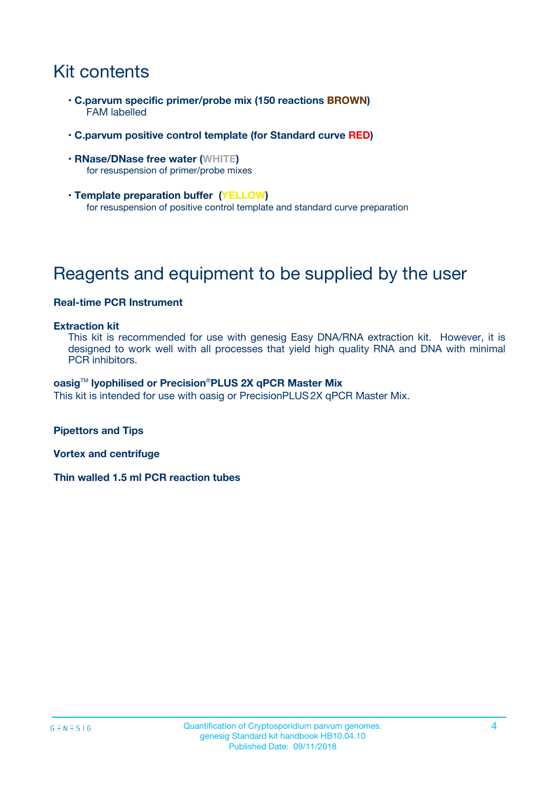## Kit contents

- **C.parvum specific primer/probe mix (150 reactions BROWN)** FAM labelled
- **C.parvum positive control template (for Standard curve RED)**
- **RNase/DNase free water (WHITE)** for resuspension of primer/probe mixes
- **Template preparation buffer (YELLOW)** for resuspension of positive control template and standard curve preparation

## Reagents and equipment to be supplied by the user

#### **Real-time PCR Instrument**

#### **Extraction kit**

This kit is recommended for use with genesig Easy DNA/RNA extraction kit. However, it is designed to work well with all processes that yield high quality RNA and DNA with minimal PCR inhibitors.

#### **oasig**TM **lyophilised or Precision**®**PLUS 2X qPCR Master Mix**

This kit is intended for use with oasig or PrecisionPLUS2X qPCR Master Mix.

**Pipettors and Tips**

**Vortex and centrifuge**

**Thin walled 1.5 ml PCR reaction tubes**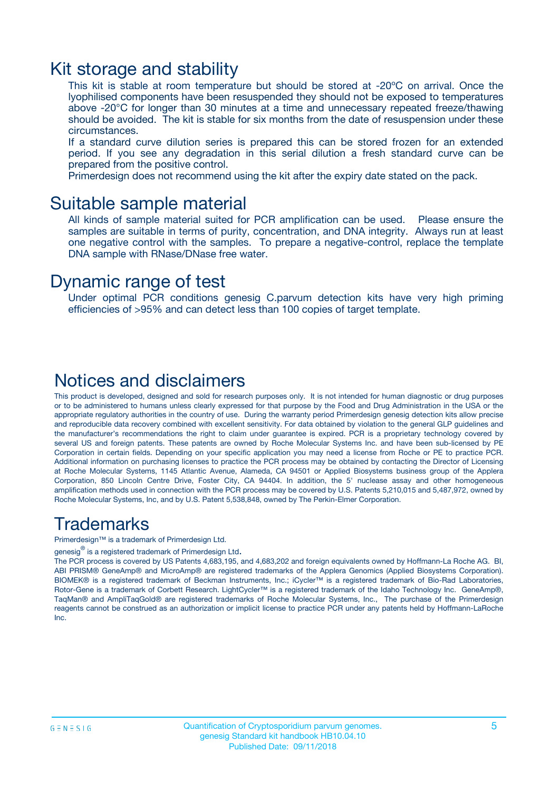### Kit storage and stability

This kit is stable at room temperature but should be stored at -20ºC on arrival. Once the lyophilised components have been resuspended they should not be exposed to temperatures above -20°C for longer than 30 minutes at a time and unnecessary repeated freeze/thawing should be avoided. The kit is stable for six months from the date of resuspension under these circumstances.

If a standard curve dilution series is prepared this can be stored frozen for an extended period. If you see any degradation in this serial dilution a fresh standard curve can be prepared from the positive control.

Primerdesign does not recommend using the kit after the expiry date stated on the pack.

### Suitable sample material

All kinds of sample material suited for PCR amplification can be used. Please ensure the samples are suitable in terms of purity, concentration, and DNA integrity. Always run at least one negative control with the samples. To prepare a negative-control, replace the template DNA sample with RNase/DNase free water.

### Dynamic range of test

Under optimal PCR conditions genesig C.parvum detection kits have very high priming efficiencies of >95% and can detect less than 100 copies of target template.

### Notices and disclaimers

This product is developed, designed and sold for research purposes only. It is not intended for human diagnostic or drug purposes or to be administered to humans unless clearly expressed for that purpose by the Food and Drug Administration in the USA or the appropriate regulatory authorities in the country of use. During the warranty period Primerdesign genesig detection kits allow precise and reproducible data recovery combined with excellent sensitivity. For data obtained by violation to the general GLP guidelines and the manufacturer's recommendations the right to claim under guarantee is expired. PCR is a proprietary technology covered by several US and foreign patents. These patents are owned by Roche Molecular Systems Inc. and have been sub-licensed by PE Corporation in certain fields. Depending on your specific application you may need a license from Roche or PE to practice PCR. Additional information on purchasing licenses to practice the PCR process may be obtained by contacting the Director of Licensing at Roche Molecular Systems, 1145 Atlantic Avenue, Alameda, CA 94501 or Applied Biosystems business group of the Applera Corporation, 850 Lincoln Centre Drive, Foster City, CA 94404. In addition, the 5' nuclease assay and other homogeneous amplification methods used in connection with the PCR process may be covered by U.S. Patents 5,210,015 and 5,487,972, owned by Roche Molecular Systems, Inc, and by U.S. Patent 5,538,848, owned by The Perkin-Elmer Corporation.

### Trademarks

Primerdesign™ is a trademark of Primerdesign Ltd.

genesig $^\circledR$  is a registered trademark of Primerdesign Ltd.

The PCR process is covered by US Patents 4,683,195, and 4,683,202 and foreign equivalents owned by Hoffmann-La Roche AG. BI, ABI PRISM® GeneAmp® and MicroAmp® are registered trademarks of the Applera Genomics (Applied Biosystems Corporation). BIOMEK® is a registered trademark of Beckman Instruments, Inc.; iCycler™ is a registered trademark of Bio-Rad Laboratories, Rotor-Gene is a trademark of Corbett Research. LightCycler™ is a registered trademark of the Idaho Technology Inc. GeneAmp®, TaqMan® and AmpliTaqGold® are registered trademarks of Roche Molecular Systems, Inc., The purchase of the Primerdesign reagents cannot be construed as an authorization or implicit license to practice PCR under any patents held by Hoffmann-LaRoche Inc.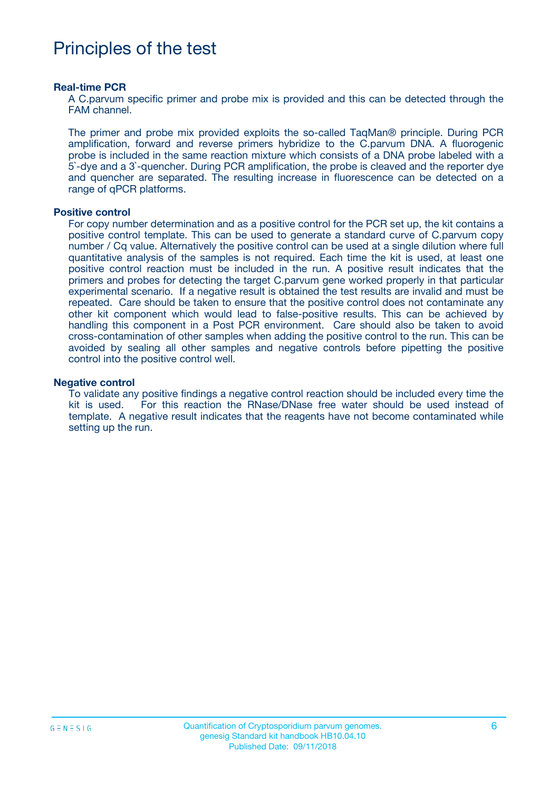## Principles of the test

#### **Real-time PCR**

A C.parvum specific primer and probe mix is provided and this can be detected through the FAM channel.

The primer and probe mix provided exploits the so-called TaqMan® principle. During PCR amplification, forward and reverse primers hybridize to the C.parvum DNA. A fluorogenic probe is included in the same reaction mixture which consists of a DNA probe labeled with a 5`-dye and a 3`-quencher. During PCR amplification, the probe is cleaved and the reporter dye and quencher are separated. The resulting increase in fluorescence can be detected on a range of qPCR platforms.

#### **Positive control**

For copy number determination and as a positive control for the PCR set up, the kit contains a positive control template. This can be used to generate a standard curve of C.parvum copy number / Cq value. Alternatively the positive control can be used at a single dilution where full quantitative analysis of the samples is not required. Each time the kit is used, at least one positive control reaction must be included in the run. A positive result indicates that the primers and probes for detecting the target C.parvum gene worked properly in that particular experimental scenario. If a negative result is obtained the test results are invalid and must be repeated. Care should be taken to ensure that the positive control does not contaminate any other kit component which would lead to false-positive results. This can be achieved by handling this component in a Post PCR environment. Care should also be taken to avoid cross-contamination of other samples when adding the positive control to the run. This can be avoided by sealing all other samples and negative controls before pipetting the positive control into the positive control well.

#### **Negative control**

To validate any positive findings a negative control reaction should be included every time the kit is used. For this reaction the RNase/DNase free water should be used instead of template. A negative result indicates that the reagents have not become contaminated while setting up the run.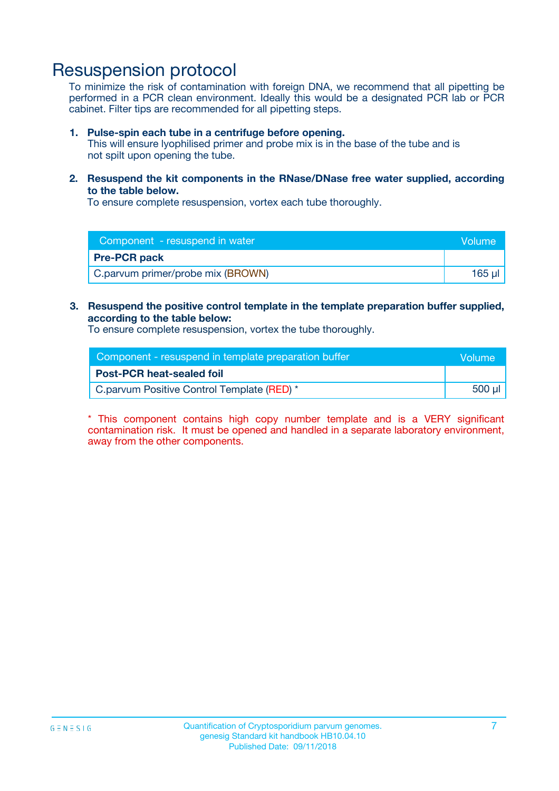## Resuspension protocol

To minimize the risk of contamination with foreign DNA, we recommend that all pipetting be performed in a PCR clean environment. Ideally this would be a designated PCR lab or PCR cabinet. Filter tips are recommended for all pipetting steps.

#### **1. Pulse-spin each tube in a centrifuge before opening.**

This will ensure lyophilised primer and probe mix is in the base of the tube and is not spilt upon opening the tube.

**2. Resuspend the kit components in the RNase/DNase free water supplied, according to the table below.**

To ensure complete resuspension, vortex each tube thoroughly.

| Component - resuspend in water    | Volume |
|-----------------------------------|--------|
| <b>Pre-PCR pack</b>               |        |
| C.parvum primer/probe mix (BROWN) | 165 ul |

### **3. Resuspend the positive control template in the template preparation buffer supplied, according to the table below:**

To ensure complete resuspension, vortex the tube thoroughly.

| Component - resuspend in template preparation buffer |        |  |
|------------------------------------------------------|--------|--|
| <b>Post-PCR heat-sealed foil</b>                     |        |  |
| C.parvum Positive Control Template (RED) *           | 500 µl |  |

\* This component contains high copy number template and is a VERY significant contamination risk. It must be opened and handled in a separate laboratory environment, away from the other components.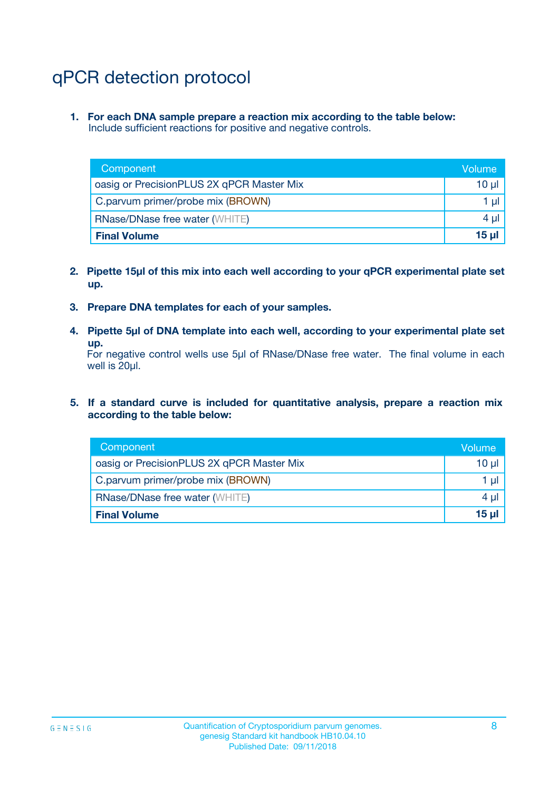## qPCR detection protocol

**1. For each DNA sample prepare a reaction mix according to the table below:** Include sufficient reactions for positive and negative controls.

| Component                                 | Volume           |
|-------------------------------------------|------------------|
| oasig or PrecisionPLUS 2X qPCR Master Mix | 10 $\mu$         |
| C.parvum primer/probe mix (BROWN)         | 1 $\mu$          |
| <b>RNase/DNase free water (WHITE)</b>     | $4 \mu$          |
| <b>Final Volume</b>                       | 15 <sub>ul</sub> |

- **2. Pipette 15µl of this mix into each well according to your qPCR experimental plate set up.**
- **3. Prepare DNA templates for each of your samples.**
- **4. Pipette 5µl of DNA template into each well, according to your experimental plate set up.**

For negative control wells use 5µl of RNase/DNase free water. The final volume in each well is 20µl.

**5. If a standard curve is included for quantitative analysis, prepare a reaction mix according to the table below:**

| Component                                 | Volume  |
|-------------------------------------------|---------|
| oasig or PrecisionPLUS 2X qPCR Master Mix | 10 µl   |
| C.parvum primer/probe mix (BROWN)         | 1 µI    |
| <b>RNase/DNase free water (WHITE)</b>     | $4 \mu$ |
| <b>Final Volume</b>                       | $15$ µ  |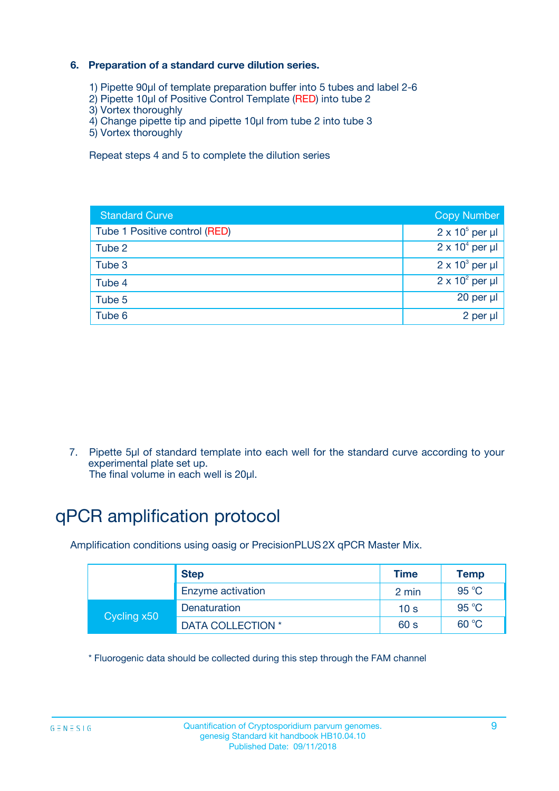### **6. Preparation of a standard curve dilution series.**

- 1) Pipette 90µl of template preparation buffer into 5 tubes and label 2-6
- 2) Pipette 10µl of Positive Control Template (RED) into tube 2
- 3) Vortex thoroughly
- 4) Change pipette tip and pipette 10µl from tube 2 into tube 3
- 5) Vortex thoroughly

Repeat steps 4 and 5 to complete the dilution series

| <b>Standard Curve</b>         | <b>Copy Number</b>     |
|-------------------------------|------------------------|
| Tube 1 Positive control (RED) | $2 \times 10^5$ per µl |
| Tube 2                        | $2 \times 10^4$ per µl |
| Tube 3                        | $2 \times 10^3$ per µl |
| Tube 4                        | $2 \times 10^2$ per µl |
| Tube 5                        | 20 per µl              |
| Tube 6                        | $2$ per $\mu$          |

7. Pipette 5µl of standard template into each well for the standard curve according to your experimental plate set up.

The final volume in each well is 20µl.

## qPCR amplification protocol

Amplification conditions using oasig or PrecisionPLUS2X qPCR Master Mix.

|             | <b>Step</b>       | <b>Time</b>     | Temp    |
|-------------|-------------------|-----------------|---------|
|             | Enzyme activation | 2 min           | 95 °C   |
| Cycling x50 | Denaturation      | 10 <sub>s</sub> | 95 $°C$ |
|             | DATA COLLECTION * | 60 s            | 60 °C   |

\* Fluorogenic data should be collected during this step through the FAM channel